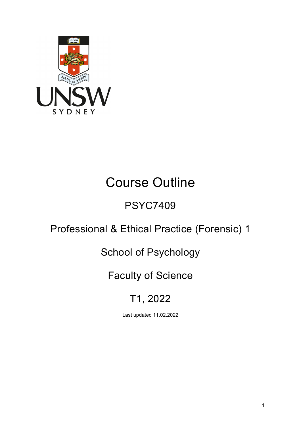

# Course Outline

## PSYC7409

## Professional & Ethical Practice (Forensic) 1

## School of Psychology

## Faculty of Science

## T1, 2022

Last updated 11.02.2022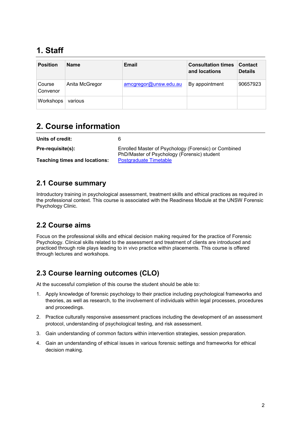## **1. Staff**

| <b>Position</b>    | <b>Name</b>    | Email                 | <b>Consultation times</b><br>and locations | <b>Contact</b><br><b>Details</b> |
|--------------------|----------------|-----------------------|--------------------------------------------|----------------------------------|
| Course<br>Convenor | Anita McGregor | amcgregor@unsw.edu.au | By appointment                             | 90657923                         |
| Workshops          | various        |                       |                                            |                                  |

## **2. Course information**

| Units of credit:                     |                                                                                                     |
|--------------------------------------|-----------------------------------------------------------------------------------------------------|
| Pre-requisite(s):                    | Enrolled Master of Psychology (Forensic) or Combined<br>PhD/Master of Psychology (Forensic) student |
| <b>Teaching times and locations:</b> | Postgraduate Timetable                                                                              |

#### **2.1 Course summary**

Introductory training in psychological assessment, treatment skills and ethical practices as required in the professional context. This course is associated with the Readiness Module at the UNSW Forensic Psychology Clinic.

#### **2.2 Course aims**

Focus on the professional skills and ethical decision making required for the practice of Forensic Psychology. Clinical skills related to the assessment and treatment of clients are introduced and practiced through role plays leading to in vivo practice within placements. This course is offered through lectures and workshops.

#### **2.3 Course learning outcomes (CLO)**

At the successful completion of this course the student should be able to:

- 1. Apply knowledge of forensic psychology to their practice including psychological frameworks and theories, as well as research, to the involvement of individuals within legal processes, procedures and proceedings.
- 2. Practice culturally responsive assessment practices including the development of an assessment protocol, understanding of psychological testing, and risk assessment.
- 3. Gain understanding of common factors within intervention strategies, session preparation.
- 4. Gain an understanding of ethical issues in various forensic settings and frameworks for ethical decision making.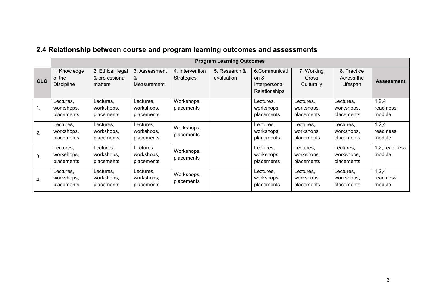|                |                                             |                                                |                                       |                                      | <b>Program Learning Outcomes</b> |                                                            |                                       |                                       |                              |
|----------------|---------------------------------------------|------------------------------------------------|---------------------------------------|--------------------------------------|----------------------------------|------------------------------------------------------------|---------------------------------------|---------------------------------------|------------------------------|
| <b>CLO</b>     | 1. Knowledge<br>of the<br><b>Discipline</b> | 2. Ethical, legal<br>& professional<br>matters | 3. Assessment<br>&<br>Measurement     | 4. Intervention<br><b>Strategies</b> | 5. Research &<br>evaluation      | 6.Communicati<br>on $\&$<br>Interpersonal<br>Relationships | 7. Working<br>Cross<br>Culturally     | 8. Practice<br>Across the<br>Lifespan | <b>Assessment</b>            |
| $\mathbf{1}$ . | Lectures,<br>workshops,<br>placements       | Lectures,<br>workshops,<br>placements          | Lectures,<br>workshops,<br>placements | Workshops,<br>placements             |                                  | Lectures,<br>workshops,<br>placements                      | Lectures,<br>workshops,<br>placements | Lectures,<br>workshops,<br>placements | 1,2,4<br>readiness<br>module |
| 2.             | Lectures,<br>workshops,<br>placements       | Lectures,<br>workshops,<br>placements          | Lectures,<br>workshops,<br>placements | Workshops,<br>placements             |                                  | Lectures,<br>workshops,<br>placements                      | Lectures.<br>workshops,<br>placements | Lectures.<br>workshops,<br>placements | 1,2,4<br>readiness<br>module |
| 3.             | Lectures,<br>workshops,<br>placements       | Lectures,<br>workshops,<br>placements          | Lectures,<br>workshops,<br>placements | Workshops,<br>placements             |                                  | Lectures,<br>workshops,<br>placements                      | Lectures,<br>workshops,<br>placements | Lectures,<br>workshops,<br>placements | 1,2, readiness<br>module     |
| 4.             | Lectures,<br>workshops,<br>placements       | Lectures,<br>workshops,<br>placements          | Lectures,<br>workshops,<br>placements | Workshops,<br>placements             |                                  | Lectures,<br>workshops,<br>placements                      | Lectures,<br>workshops,<br>placements | Lectures,<br>workshops,<br>placements | 1,2,4<br>readiness<br>module |

### **2.4 Relationship between course and program learning outcomes and assessments**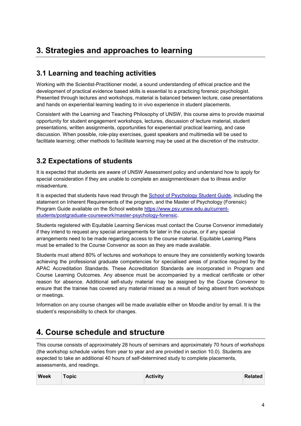## **3. Strategies and approaches to learning**

#### **3.1 Learning and teaching activities**

Working with the Scientist-Practitioner model, a sound understanding of ethical practice and the development of practical evidence based skills is essential to a practicing forensic psychologist. Presented through lectures and workshops, material is balanced between lecture, case presentations and hands on experiential learning leading to in vivo experience in student placements.

Consistent with the Learning and Teaching Philosophy of UNSW, this course aims to provide maximal opportunity for student engagement workshops, lectures, discussion of lecture material, student presentations, written assignments, opportunities for experiential/ practical learning, and case discussion. When possible, role-play exercises, guest speakers and multimedia will be used to facilitate learning; other methods to facilitate learning may be used at the discretion of the instructor.

#### **3.2 Expectations of students**

It is expected that students are aware of UNSW Assessment policy and understand how to apply for special consideration if they are unable to complete an assignment/exam due to illness and/or misadventure.

It is expected that students have read through the **School of Psychology Student Guide**, including the statement on Inherent Requirements of the program, and the Master of Psychology (Forensic) Program Guide available on the School website [https://www.psy.unsw.edu.au/current](https://www.psy.unsw.edu.au/current-students/postgraduate-coursework/master-psychology-forensic)[students/postgraduate-coursework/master-psychology-forensic.](https://www.psy.unsw.edu.au/current-students/postgraduate-coursework/master-psychology-forensic)

Students registered with Equitable Learning Services must contact the Course Convenor immediately if they intend to request any special arrangements for later in the course, or if any special arrangements need to be made regarding access to the course material. Equitable Learning Plans must be emailed to the Course Convenor as soon as they are made available.

Students must attend 80% of lectures and workshops to ensure they are consistently working towards achieving the professional graduate competencies for specialised areas of practice required by the APAC Accreditation Standards. These Accreditation Standards are incorporated in Program and Course Learning Outcomes. Any absence must be accompanied by a medical certificate or other reason for absence. Additional self-study material may be assigned by the Course Convenor to ensure that the trainee has covered any material missed as a result of being absent from workshops or meetings.

Information on any course changes will be made available either on Moodle and/or by email. It is the student's responsibility to check for changes.

## **4. Course schedule and structure**

This course consists of approximately 28 hours of seminars and approximately 70 hours of workshops (the workshop schedule varies from year to year and are provided in section 10.0). Students are expected to take an additional 40 hours of self-determined study to complete placements, assessments, and readings.

| <b>Week</b> | <b>Topic</b> | <b>Activity</b> | <b>Related</b> |
|-------------|--------------|-----------------|----------------|
|             |              |                 |                |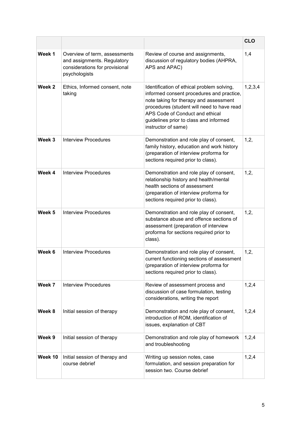|         |                                                                                                                 |                                                                                                                                                                                                                                                                                     | <b>CLO</b> |
|---------|-----------------------------------------------------------------------------------------------------------------|-------------------------------------------------------------------------------------------------------------------------------------------------------------------------------------------------------------------------------------------------------------------------------------|------------|
| Week 1  | Overview of term, assessments<br>and assignments. Regulatory<br>considerations for provisional<br>psychologists | Review of course and assignments,<br>discussion of regulatory bodies (AHPRA,<br>APS and APAC)                                                                                                                                                                                       | 1,4        |
| Week 2  | Ethics, Informed consent, note<br>taking                                                                        | Identification of ethical problem solving,<br>informed consent procedures and practice,<br>note taking for therapy and assessment<br>procedures (student will need to have read<br>APS Code of Conduct and ethical<br>guidelines prior to class and informed<br>instructor of same) | 1,2,3,4    |
| Week 3  | <b>Interview Procedures</b>                                                                                     | Demonstration and role play of consent,<br>family history, education and work history<br>(preparation of interview proforma for<br>sections required prior to class).                                                                                                               | 1,2,       |
| Week 4  | <b>Interview Procedures</b>                                                                                     | Demonstration and role play of consent,<br>relationship history and health/mental<br>health sections of assessment<br>(preparation of interview proforma for<br>sections required prior to class).                                                                                  | 1,2,       |
| Week 5  | <b>Interview Procedures</b>                                                                                     | Demonstration and role play of consent,<br>substance abuse and offence sections of<br>assessment (preparation of interview<br>proforma for sections required prior to<br>class).                                                                                                    | 1,2,       |
| Week 6  | <b>Interview Procedures</b>                                                                                     | Demonstration and role play of consent,<br>current functioning sections of assessment<br>(preparation of interview proforma for<br>sections required prior to class).                                                                                                               | 1,2,       |
| Week 7  | <b>Interview Procedures</b>                                                                                     | Review of assessment process and<br>discussion of case formulation, testing<br>considerations, writing the report                                                                                                                                                                   | 1,2,4      |
| Week 8  | Initial session of therapy                                                                                      | Demonstration and role play of consent,<br>introduction of ROM, identification of<br>issues, explanation of CBT                                                                                                                                                                     | 1,2,4      |
| Week 9  | Initial session of therapy                                                                                      | Demonstration and role play of homework<br>and troubleshooting                                                                                                                                                                                                                      | 1,2,4      |
| Week 10 | Initial session of therapy and<br>course debrief                                                                | Writing up session notes, case<br>formulation, and session preparation for<br>session two. Course debrief                                                                                                                                                                           | 1,2,4      |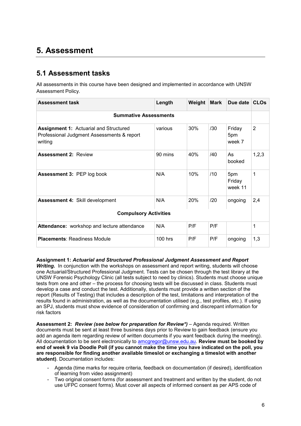### **5. Assessment**

#### **5.1 Assessment tasks**

All assessments in this course have been designed and implemented in accordance with UNSW Assessment Policy.

| <b>Assessment task</b>                                                                                 | Length    | Weight | <b>Mark</b> | Due date                 | <b>CLOs</b> |  |
|--------------------------------------------------------------------------------------------------------|-----------|--------|-------------|--------------------------|-------------|--|
| <b>Summative Assessments</b>                                                                           |           |        |             |                          |             |  |
| <b>Assignment 1: Actuarial and Structured</b><br>Professional Judgment Assessments & report<br>writing | various   | 30%    | /30         | Friday<br>5pm<br>week 7  | 2           |  |
| <b>Assessment 2: Review</b>                                                                            | 90 mins   | 40%    | /40         | As<br>booked             | 1,2,3       |  |
| Assessment 3: PEP log book                                                                             | N/A       | 10%    | /10         | 5pm<br>Friday<br>week 11 | 1           |  |
| <b>Assessment 4: Skill development</b>                                                                 | N/A       | 20%    | /20         | ongoing                  | 2,4         |  |
| <b>Compulsory Activities</b>                                                                           |           |        |             |                          |             |  |
| Attendance: workshop and lecture attendance                                                            | N/A       | P/F    | P/F         |                          | 1           |  |
| <b>Placements: Readiness Module</b>                                                                    | $100$ hrs | P/F    | P/F         | ongoing                  | 1,3         |  |

**Assignment 1:** *Actuarial and Structured Professional Judgment Assessment and Report Writing.* In conjunction with the workshops on assessment and report writing, students will choose one Actuarial/Structured Professional Judgment. Tests can be chosen through the test library at the UNSW Forensic Psychology Clinic (all tests subject to need by clinics). Students must choose unique tests from one and other – the process for choosing tests will be discussed in class. Students must develop a case and conduct the test. Additionally, students must provide a written section of the report (Results of Testing) that includes a description of the test, limitations and interpretation of the results found in administration, as well as the documentation utilised (e.g., test profiles, etc.). If using an SPJ, students must show evidence of consideration of confirming and discrepant information for risk factors

**Assessment 2:** *Review (see below for preparation for Review\*)* – Agenda required. Written documents must be sent at least three business days prior to Review to gain feedback (ensure you add an agenda item regarding review of written documents if you want feedback during the meeting). All documentation to be sent electronically to [amcgregor@unsw.edu.au.](mailto:amcgregor@unsw.edu.au) **Review must be booked by end of week 9 via Doodle Poll (if you cannot make the time you have indicated on the poll, you are responsible for finding another available timeslot or exchanging a timeslot with another student)**. Documentation includes:

- Agenda (time marks for require criteria, feedback on documentation (if desired), identification of learning from video assignment)
- Two original consent forms (for assessment and treatment and written by the student, do not use UFPC consent forms). Must cover all aspects of informed consent as per APS code of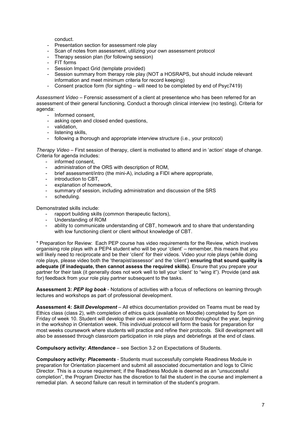conduct.

- Presentation section for assessment role play
- Scan of notes from assessment, utilizing your own assessment protocol
- Therapy session plan (for following session)
- FIT forms
- Session Impact Grid (template provided)
- Session summary from therapy role play (NOT a HOSRAPS, but should include relevant information and meet minimum criteria for record keeping)
- Consent practice form (for sighting will need to be completed by end of Psyc7419)

*Assessment Video* – Forensic assessment of a client at presentence who has been referred for an assessment of their general functioning. Conduct a thorough clinical interview (no testing). Criteria for agenda:

- Informed consent,
- asking open and closed ended questions,
- validation,
- listening skills.
- following a thorough and appropriate interview structure (i.e., your protocol)

*Therapy Video* – First session of therapy, client is motivated to attend and in 'action' stage of change. Criteria for agenda includes:

- informed consent.
- administration of the ORS with description of ROM,
- brief assessment/intro (the mini-A), including a FIDI where appropriate,
- introduction to CBT,
- explanation of homework.
- summary of session, including administration and discussion of the SRS
- scheduling.

Demonstrated skills include:

- rapport building skills (common therapeutic factors),
- Understanding of ROM
- ability to communicate understanding of CBT, homework and to share that understanding with low functioning client or client without knowledge of CBT.

\* Preparation for Review: Each PEP course has video requirements for the Review, which involves organising role plays with a PEP4 student who will be your 'client' – remember, this means that you will likely need to reciprocate and be their 'client' for their videos. Video your role plays (while doing role plays, please video both the 'therapist/assessor' and the 'client') **ensuring that sound quality is adequate (if inadequate, then cannot assess the required skills).** Ensure that you prepare your partner for their task (it generally does not work well to tell your 'client' to "wing it"). Provide (and ask for) feedback from your role play partner subsequent to the tasks.

**Assessment 3:** *PEP log book* - Notations of activities with a focus of reflections on learning through lectures and workshops as part of professional development.

**Assessment 4:** *Skill Development* – All ethics documentation provided on Teams must be read by Ethics class (class 2), with completion of ethics quick (available on Moodle) completed by 5pm on Friday of week 10. Student will develop their own assessment protocol throughout the year, beginning in the workshop in Orientation week. This individual protocol will form the basis for preparation for most weeks coursework where students will practice and refine their protocols. Skill development will also be assessed through classroom participation in role plays and debriefings at the end of class.

**Compulsory activity:** *Attendance* – see Section 3.2 on Expectations of Students.

**Compulsory activity:** *Placements* - Students must successfully complete Readiness Module in preparation for Orientation placement and submit all associated documentation and logs to Clinic Director. This is a course requirement; if the Readiness Module is deemed as an "unsuccessful completion", the Program Director has the discretion to fail the student in the course and implement a remedial plan. A second failure can result in termination of the student's program.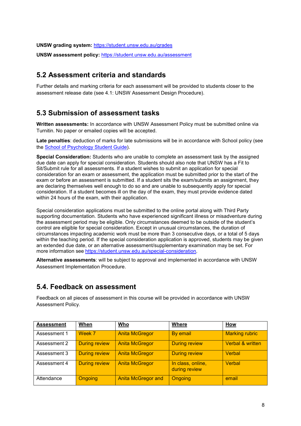**UNSW grading system:** <https://student.unsw.edu.au/grades> **UNSW assessment policy:** <https://student.unsw.edu.au/assessment>

#### **5.2 Assessment criteria and standards**

Further details and marking criteria for each assessment will be provided to students closer to the assessment release date (see 4.1: UNSW Assessment Design Procedure).

#### **5.3 Submission of assessment tasks**

**Written assessments:** In accordance with UNSW Assessment Policy must be submitted online via Turnitin. No paper or emailed copies will be accepted.

**Late penalties**: deduction of marks for late submissions will be in accordance with School policy (see the [School of Psychology Student Guide\)](https://www.psy.unsw.edu.au/current-students/student-guide).

**Special Consideration:** Students who are unable to complete an assessment task by the assigned due date can apply for special consideration. Students should also note that UNSW has a Fit to Sit/Submit rule for all assessments. If a student wishes to submit an application for special consideration for an exam or assessment, the application must be submitted prior to the start of the exam or before an assessment is submitted. If a student sits the exam/submits an assignment, they are declaring themselves well enough to do so and are unable to subsequently apply for special consideration. If a student becomes ill on the day of the exam, they must provide evidence dated within 24 hours of the exam, with their application.

Special consideration applications must be submitted to the online portal along with Third Party supporting documentation. Students who have experienced significant illness or misadventure during the assessment period may be eligible. Only circumstances deemed to be outside of the student's control are eligible for special consideration. Except in unusual circumstances, the duration of circumstances impacting academic work must be more than 3 consecutive days, or a total of 5 days within the teaching period. If the special consideration application is approved, students may be given an extended due date, or an alternative assessment/supplementary examination may be set. For more information see [https://student.unsw.edu.au/special-consideration.](https://student.unsw.edu.au/special-consideration)

**Alternative assessments**: will be subject to approval and implemented in accordance with UNSW Assessment Implementation Procedure.

#### **5.4. Feedback on assessment**

Feedback on all pieces of assessment in this course will be provided in accordance with UNSW Assessment Policy.

| <b>Assessment</b> | When                 | <b>Who</b>                | Where                              | <b>How</b>                  |
|-------------------|----------------------|---------------------------|------------------------------------|-----------------------------|
| Assessment 1      | Week 7               | <b>Anita McGregor</b>     | By email                           | <b>Marking rubric</b>       |
| Assessment 2      | <b>During review</b> | <b>Anita McGregor</b>     | <b>During review</b>               | <b>Verbal &amp; written</b> |
| Assessment 3      | <b>During review</b> | <b>Anita McGregor</b>     | <b>During review</b>               | <b>Verbal</b>               |
| Assessment 4      | <b>During review</b> | <b>Anita McGregor</b>     | In class, online,<br>during review | Verbal                      |
| Attendance        | <b>Ongoing</b>       | <b>Anita McGregor and</b> | Ongoing                            | email                       |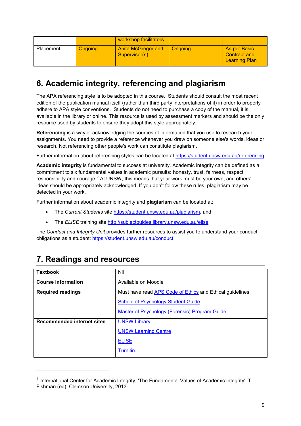|           |         | workshop facilitators                      |                |                                                             |
|-----------|---------|--------------------------------------------|----------------|-------------------------------------------------------------|
| Placement | Ongoing | <b>Anita McGregor and</b><br>Supervisor(s) | <b>Ongoing</b> | As per Basic<br><b>Contract and</b><br><b>Learning Plan</b> |

### **6. Academic integrity, referencing and plagiarism**

The APA referencing style is to be adopted in this course. Students should consult the most recent edition of the publication manual itself (rather than third party interpretations of it) in order to properly adhere to APA style conventions. Students do not need to purchase a copy of the manual, it is available in the library or online. This resource is used by assessment markers and should be the only resource used by students to ensure they adopt this style appropriately.

**Referencing** is a way of acknowledging the sources of information that you use to research your assignments. You need to provide a reference whenever you draw on someone else's words, ideas or research. Not referencing other people's work can constitute plagiarism.

Further information about referencing styles can be located at<https://student.unsw.edu.au/referencing>

**Academic integrity** is fundamental to success at university. Academic integrity can be defined as a commitment to six fundamental values in academic pursuits**:** honesty, trust, fairness, respect, responsibility and courage.*[1](#page-8-0)* At UNSW, this means that your work must be your own, and others' ideas should be appropriately acknowledged. If you don't follow these rules, plagiarism may be detected in your work.

Further information about academic integrity and **plagiarism** can be located at:

- The *Current Students* site <https://student.unsw.edu.au/plagiarism>*,* and
- The *ELISE* training site <http://subjectguides.library.unsw.edu.au/elise>

The *Conduct and Integrity Unit* provides further resources to assist you to understand your conduct obligations as a student: [https://student.unsw.edu.au/conduct.](https://student.unsw.edu.au/conduct)

| <b>Textbook</b>                   | Nil                                                             |
|-----------------------------------|-----------------------------------------------------------------|
| <b>Course information</b>         | Available on Moodle                                             |
| <b>Required readings</b>          | Must have read <b>APS Code of Ethics</b> and Ethical guidelines |
|                                   | <b>School of Psychology Student Guide</b>                       |
|                                   | <b>Master of Psychology (Forensic) Program Guide</b>            |
| <b>Recommended internet sites</b> | <b>UNSW Library</b>                                             |
|                                   | <b>UNSW Learning Centre</b>                                     |
|                                   | <b>ELISE</b>                                                    |
|                                   | <b>Turnitin</b>                                                 |

## **7. Readings and resources**

j

<span id="page-8-0"></span><sup>1</sup> International Center for Academic Integrity, 'The Fundamental Values of Academic Integrity', T. Fishman (ed), Clemson University, 2013.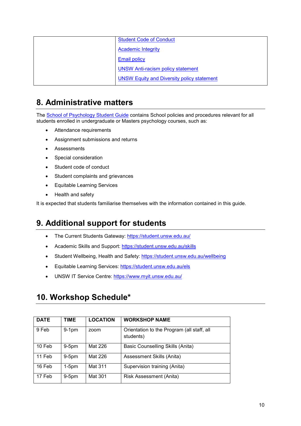| <b>Student Code of Conduct</b>                    |
|---------------------------------------------------|
| <b>Academic Integrity</b>                         |
| <b>Email policy</b>                               |
| <b>UNSW Anti-racism policy statement</b>          |
| <b>UNSW Equity and Diversity policy statement</b> |

### **8. Administrative matters**

The [School of Psychology Student Guide](https://www.psy.unsw.edu.au/current-students/student-guide) contains School policies and procedures relevant for all students enrolled in undergraduate or Masters psychology courses, such as:

- Attendance requirements
- Assignment submissions and returns
- Assessments
- Special consideration
- Student code of conduct
- Student complaints and grievances
- Equitable Learning Services
- Health and safety

It is expected that students familiarise themselves with the information contained in this guide.

### **9. Additional support for students**

- The Current Students Gateway:<https://student.unsw.edu.au/>
- Academic Skills and Support:<https://student.unsw.edu.au/skills>
- Student Wellbeing, Health and Safety:<https://student.unsw.edu.au/wellbeing>
- Equitable Learning Services:<https://student.unsw.edu.au/els>
- UNSW IT Service Centre:<https://www.myit.unsw.edu.au/>

#### **10. Workshop Schedule\***

| <b>DATE</b> | TIME    | <b>LOCATION</b> | <b>WORKSHOP NAME</b>                                    |
|-------------|---------|-----------------|---------------------------------------------------------|
| 9 Feb       | $9-1pm$ | zoom            | Orientation to the Program (all staff, all<br>students) |
| 10 Feb      | $9-5pm$ | Mat 226         | Basic Counselling Skills (Anita)                        |
| 11 Feb      | $9-5pm$ | Mat 226         | Assessment Skills (Anita)                               |
| 16 Feb      | $1-5pm$ | Mat 311         | Supervision training (Anita)                            |
| 17 Feb      | $9-5pm$ | Mat 301         | Risk Assessment (Anita)                                 |